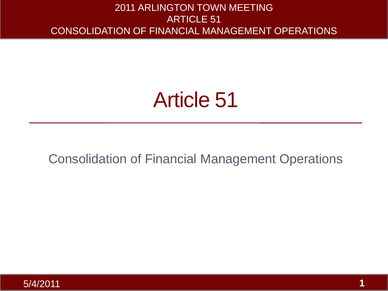### Article 51

#### Consolidation of Financial Management Operations

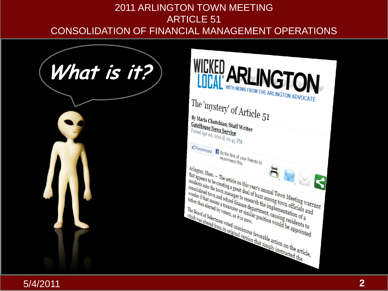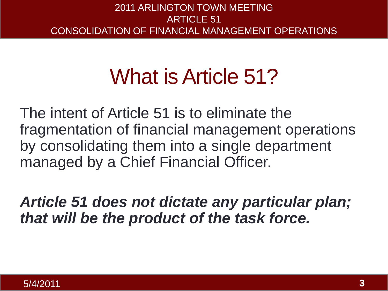### What is Article 51?

The intent of Article 51 is to eliminate the fragmentation of financial management operations by consolidating them into a single department managed by a Chief Financial Officer.

*Article 51 does not dictate any particular plan; that will be the product of the task force.*

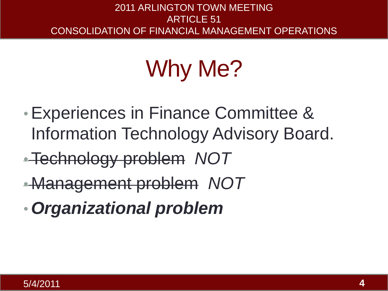# Why Me?

- •Experiences in Finance Committee & Information Technology Advisory Board.
- •Technology problem *NOT*
- Management problem *NOT*
- •*Organizational problem*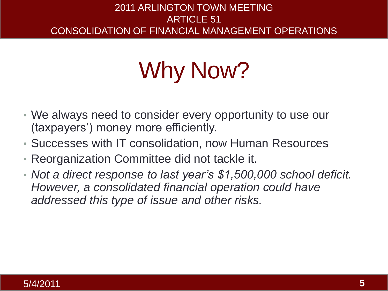## Why Now?

- We always need to consider every opportunity to use our (taxpayers') money more efficiently.
- Successes with IT consolidation, now Human Resources
- Reorganization Committee did not tackle it.
- *Not a direct response to last year's \$1,500,000 school deficit. However, a consolidated financial operation could have addressed this type of issue and other risks.*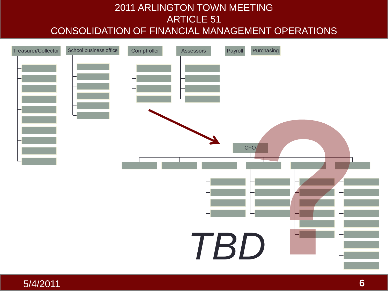

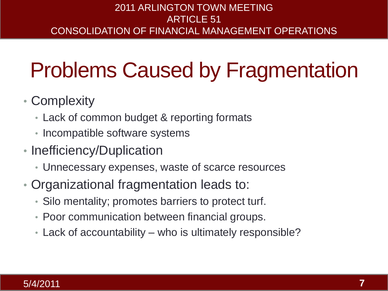### Problems Caused by Fragmentation

- Complexity
	- Lack of common budget & reporting formats
	- Incompatible software systems
- Inefficiency/Duplication
	- Unnecessary expenses, waste of scarce resources
- Organizational fragmentation leads to:
	- Silo mentality; promotes barriers to protect turf.
	- Poor communication between financial groups.
	- Lack of accountability who is ultimately responsible?

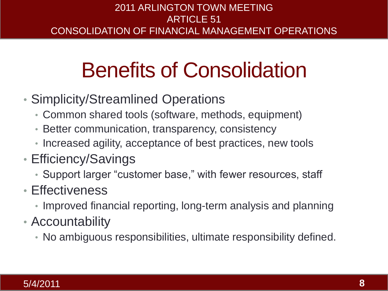### Benefits of Consolidation

- Simplicity/Streamlined Operations
	- Common shared tools (software, methods, equipment)
	- Better communication, transparency, consistency
	- Increased agility, acceptance of best practices, new tools
- Efficiency/Savings
	- Support larger "customer base," with fewer resources, staff
- Effectiveness
	- Improved financial reporting, long-term analysis and planning
- Accountability
	- No ambiguous responsibilities, ultimate responsibility defined.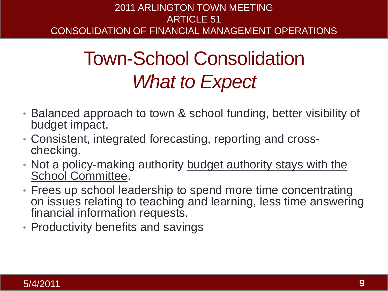### Town-School Consolidation *What to Expect*

- Balanced approach to town & school funding, better visibility of budget impact.
- Consistent, integrated forecasting, reporting and crosschecking.
- Not a policy-making authority budget authority stays with the School Committee.
- Frees up school leadership to spend more time concentrating on issues relating to teaching and learning, less time answering financial information requests.
- Productivity benefits and savings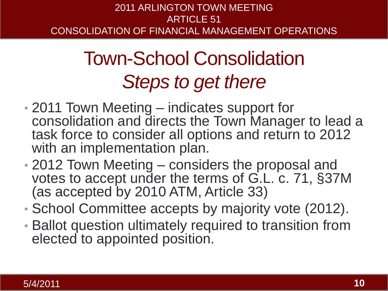### Town-School Consolidation *Steps to get there*

- 2011 Town Meeting indicates support for consolidation and directs the Town Manager to lead a task force to consider all options and return to 2012 with an implementation plan.
- 2012 Town Meeting considers the proposal and votes to accept under the terms of G.L. c. 71, §37M (as accepted by 2010 ATM, Article 33)
- School Committee accepts by majority vote (2012).
- Ballot question ultimately required to transition from elected to appointed position.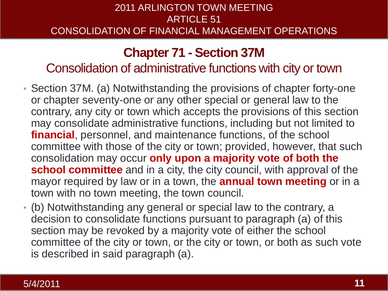#### **Chapter 71 - Section 37M**

Consolidation of administrative functions with city or town

- Section 37M. (a) Notwithstanding the provisions of chapter forty-one or chapter seventy-one or any other special or general law to the contrary, any city or town which accepts the provisions of this section may consolidate administrative functions, including but not limited to **financial**, personnel, and maintenance functions, of the school committee with those of the city or town; provided, however, that such consolidation may occur **only upon a majority vote of both the school committee** and in a city, the city council, with approval of the mayor required by law or in a town, the **annual town meeting** or in a town with no town meeting, the town council.
- (b) Notwithstanding any general or special law to the contrary, a decision to consolidate functions pursuant to paragraph (a) of this section may be revoked by a majority vote of either the school committee of the city or town, or the city or town, or both as such vote is described in said paragraph (a).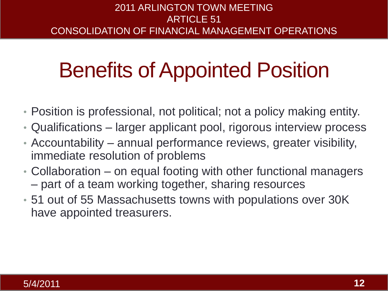### Benefits of Appointed Position

- Position is professional, not political; not a policy making entity.
- Qualifications larger applicant pool, rigorous interview process
- Accountability annual performance reviews, greater visibility, immediate resolution of problems
- Collaboration on equal footing with other functional managers – part of a team working together, sharing resources
- 51 out of 55 Massachusetts towns with populations over 30K have appointed treasurers.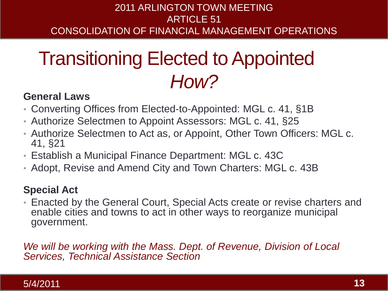### Transitioning Elected to Appointed *How?*

#### **General Laws**

- Converting Offices from Elected-to-Appointed: MGL c. 41, §1B
- Authorize Selectmen to Appoint Assessors: MGL c. 41, §25
- Authorize Selectmen to Act as, or Appoint, Other Town Officers: MGL c. 41, §21
- Establish a Municipal Finance Department: MGL c. 43C
- Adopt, Revise and Amend City and Town Charters: MGL c. 43B

#### **Special Act**

• Enacted by the General Court, Special Acts create or revise charters and enable cities and towns to act in other ways to reorganize municipal government.

*We will be working with the Mass. Dept. of Revenue, Division of Local Services, Technical Assistance Section*

#### 5/4/2011 **13**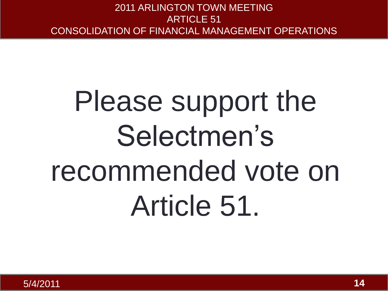# Please support the Selectmen's recommended vote on Article 51.